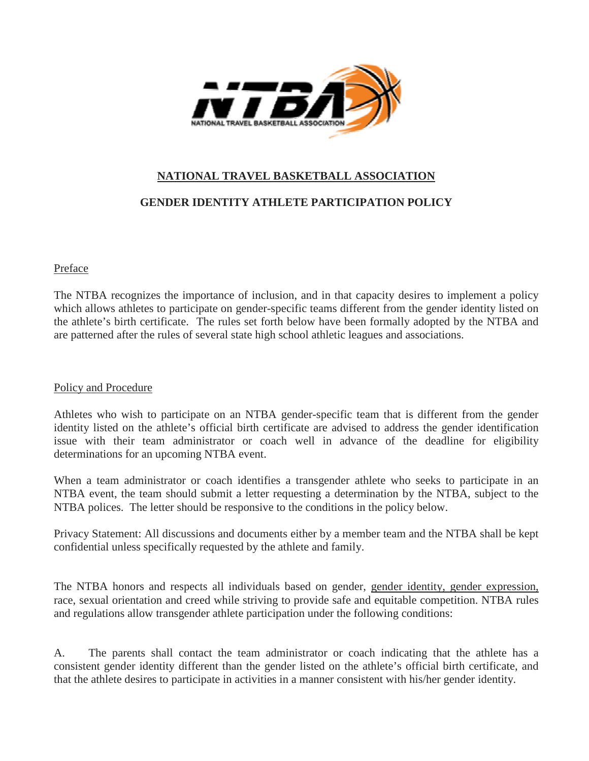

# **NATIONAL TRAVEL BASKETBALL ASSOCIATION**

## **GENDER IDENTITY ATHLETE PARTICIPATION POLICY**

#### Preface

The NTBA recognizes the importance of inclusion, and in that capacity desires to implement a policy which allows athletes to participate on gender-specific teams different from the gender identity listed on the athlete's birth certificate. The rules set forth below have been formally adopted by the NTBA and are patterned after the rules of several state high school athletic leagues and associations.

#### Policy and Procedure

Athletes who wish to participate on an NTBA gender-specific team that is different from the gender identity listed on the athlete's official birth certificate are advised to address the gender identification issue with their team administrator or coach well in advance of the deadline for eligibility determinations for an upcoming NTBA event.

When a team administrator or coach identifies a transgender athlete who seeks to participate in an NTBA event, the team should submit a letter requesting a determination by the NTBA, subject to the NTBA polices. The letter should be responsive to the conditions in the policy below.

Privacy Statement: All discussions and documents either by a member team and the NTBA shall be kept confidential unless specifically requested by the athlete and family.

The NTBA honors and respects all individuals based on gender, gender identity, gender expression, race, sexual orientation and creed while striving to provide safe and equitable competition. NTBA rules and regulations allow transgender athlete participation under the following conditions:

A. The parents shall contact the team administrator or coach indicating that the athlete has a consistent gender identity different than the gender listed on the athlete's official birth certificate, and that the athlete desires to participate in activities in a manner consistent with his/her gender identity.